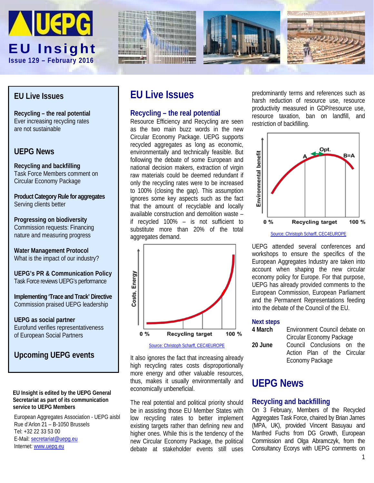







## **EU Live Issues**

**Recycling – the real potential** Ever increasing recycling rates are not sustainable

## **UEPG News**

**Recycling and backfilling** Task Force Members comment on Circular Economy Package

**Product Category Rule for aggregates** Serving clients better

**Progressing on biodiversity** Commission requests: Financing nature and measuring progress

**Water Management Protocol** What is the impact of our industry?

**UEPG's PR & Communication Policy** Task Force reviews UEPG's performance

**Implementing 'Trace and Track' Directive** Commission praised UEPG leadership

**UEPG as social partner** Eurofund verifies representativeness of European Social Partners

## **Upcoming UEPG events**

#### **EU Insight is edited by the UEPG General Secretariat as part of its communication service to UEPG Members**

European Aggregates Association - UEPG aisbl Rue d'Arlon 21 – B-1050 Brussels Tel: +32 22 33 53 00 E-Mail: [secretariat@uepg.eu](mailto:secretariat@uepg.eu) Internet[: www.uepg.eu](http://www.uepg.eu/)

# **EU Live Issues**

### **Recycling – the real potential**

Resource Efficiency and Recycling are seen as the two main buzz words in the new Circular Economy Package. UEPG supports recycled aggregates as long as economic, environmentally and technically feasible. But following the debate of some European and national decision makers, extraction of virgin raw materials could be deemed redundant if only the recycling rates were to be increased to 100% (closing the gap). This assumption ignores some key aspects such as the fact that the amount of recyclable and locally available construction and demolition waste – if recycled 100% – is not sufficient to substitute more than 20% of the total aggregates demand.



It also ignores the fact that increasing already high recycling rates costs disproportionally more energy and other valuable resources, thus, makes it usually environmentally and economically unbeneficial.

The real potential and political priority should be in assisting those EU Member States with low recycling rates to better implement existing targets rather than defining new and higher ones. While this is the tendency of the new Circular Economy Package, the political debate at stakeholder events still uses predominantly terms and references such as harsh reduction of resource use, resource productivity measured in GDP/resource use, resource taxation, ban on landfill, and restriction of backfilling.



UEPG attended several conferences and workshops to ensure the specifics of the European Aggregates Industry are taken into account when shaping the new circular economy policy for Europe. For that purpose, UEPG has already provided comments to the European Commission, European Parliament and the Permanent Representations feeding

#### **Next steps**

| 4 March | Environment Council debate on |
|---------|-------------------------------|
|         | Circular Economy Package      |
| 20 June | Council Conclusions on the    |
|         | Action Plan of the Circular   |
|         | Economy Package               |

into the debate of the Council of the EU.

## **UEPG News**

#### **Recycling and backfilling**

On 3 February, Members of the Recycled Aggregates Task Force, chaired by Brian James (MPA, UK), provided Vincent Basuyau and Manfred Fuchs from DG Growth, European Commission and Olga Abramczyk, from the Consultancy Ecorys with UEPG comments on